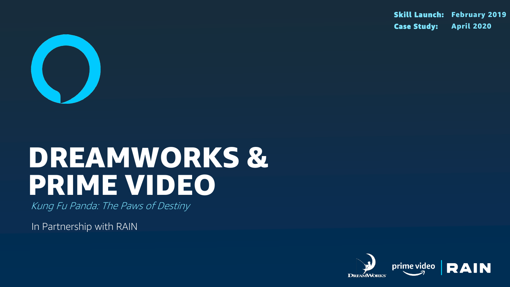

# DREAMWORKS & PRIME VIDEO

Kung Fu Panda: The Paws of Destiny

In Partnership with RAIN

### Skill Launch: February 2019 Case Study: April 2020



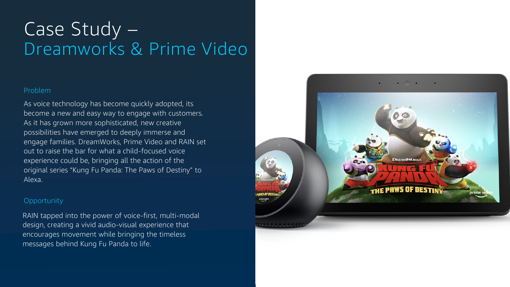### Problem

As voice technology has become quickly adopted, its become a new and easy way to engage with customers. As it has grown more sophisticated, new creative possibilities have emerged to deeply immerse and engage families. DreamWorks, Prime Video and RAIN set out to raise the bar for what a child-focused voice experience could be, bringing all the action of the original series "Kung Fu Panda: The Paws of Destiny" to Alexa.

# Case Study – Dreamworks & Prime Video

### Opportunity

RAIN tapped into the power of voice-first, multi-modal design, creating a vivid audio-visual experience that encourages movement while bringing the timeless messages behind Kung Fu Panda to life.

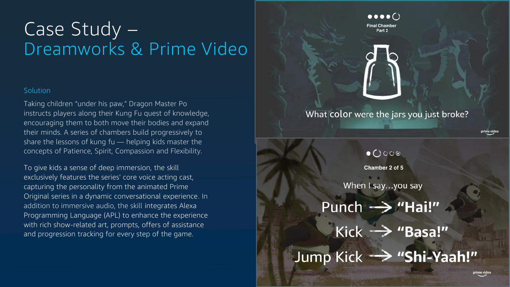# Case Study – Dreamworks & Prime Video

### **Solution**

Taking children "under his paw," Dragon Master Po instructs players along their Kung Fu quest of knowledge, encouraging them to both move their bodies and expand their minds. A series of chambers build progressively to share the lessons of kung fu — helping kids master the concepts of Patience, Spirit, Compassion and Flexibility.

To give kids a sense of deep immersion, the skill exclusively features the series' core voice acting cast, capturing the personality from the animated Prime Original series in a dynamic conversational experience. In addition to immersive audio, the skill integrates Alexa Programming Language (APL) to enhance the experience with rich show-related art, prompts, offers of assistance and progression tracking for every step of the game.

Punch -> "Hai!"



 $\bullet \bullet \bullet \bullet$ 



### What color were the jars you just broke?

 $\bullet$   $\bigcirc$   $\circ$   $\circ$   $\circ$ <br>Chamber 2 of 5

When I say...you say

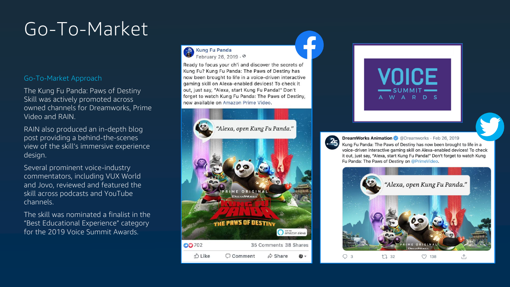### Go-To-Market Approach

The Kung Fu Panda: Paws of Destiny Skill was actively promoted across owned channels for Dreamworks, Prime Video and RAIN.

RAIN also produced an in-depth blog post providing a behind-the-scenes view of the skill's immersive experience design.

Several prominent voice-industry commentators, including VUX World and Jovo, reviewed and featured the skill across podcasts and YouTube channels.

The skill was nominated a finalist in the "Best Educational Experience" category for the 2019 Voice Summit Awards.



**Kung Fu Panda** February 26, 2019 . 0

Ready to focus your ch'i and discover the secrets of Kung Fu? Kung Fu Panda: The Paws of Destiny has now been brought to life in a voice-driven interactive gaming skill on Alexa-enabled devices! To check it out, just say, "Alexa, start Kung Fu Panda!" Don't forget to watch Kung Fu Panda: The Paws of Destiny, now available on Amazon Prime Video.



 $2<sub>5</sub>$ 





#### **DreamWorks Animation** @Dreamworks · Feb 26, 2019

Kung Fu Panda: The Paws of Destiny has now been brought to life in a voice-driven interactive gaming skill on Alexa-enabled devices! To check it out, just say, "Alexa, start Kung Fu Panda!" Don't forget to watch Kung Fu Panda: The Paws of Destiny on @PrimeVideo.



# Go-To-Market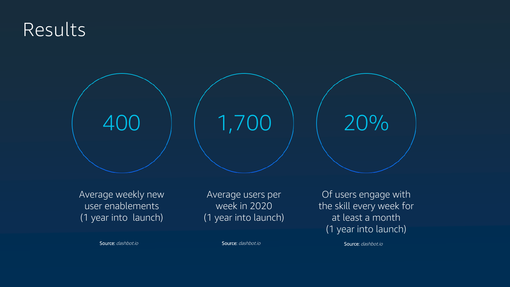## Results



Average weekly new user enablements (1 year into launch)

Source: dashbot.io

Average users per week in 2020 (1 year into launch)

Of users engage with the skill every week for at least a month (1 year into launch)

Source: dashbot.io Source: dashbot.io